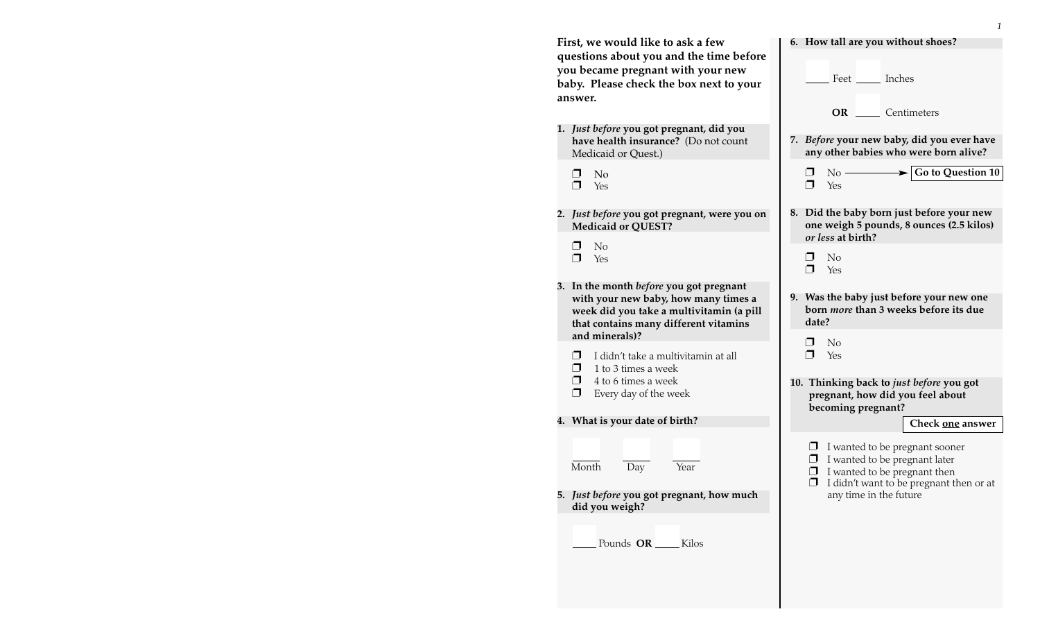**First, we would like to ask a few questions about you and the time before you became pregnant with your new baby. Please check the box next to your answer.**

**1.** *Just before* **you got pregnant, did you have health insurance?** (Do not count Medicaid or Quest.)

❐ No ❐ Yes

**2.** *Just before* **you got pregnant, were you on Medicaid or QUEST?**

❐ No ❐ Yes

- **3. In the month** *before* **you got pregnant with your new baby, how many times a week did you take a multivitamin (a pill that contains many different vitamins and minerals)?**
	- $\Box$  I didn't take a multivitamin at all
	- $\Box$  1 to 3 times a week
	- $\Box$  4 to 6 times a week
	- $\Box$  Every day of the week

**4. What is your date of birth?**

Month Day Year

**5.** *Just before* **you got pregnant, how much did you weigh?**

Pounds **OR** Kilos

| v.                                                                                                        |                                                                                                |                   |  |                      | Trow tall are you without shoes:                                                                |  |  |
|-----------------------------------------------------------------------------------------------------------|------------------------------------------------------------------------------------------------|-------------------|--|----------------------|-------------------------------------------------------------------------------------------------|--|--|
|                                                                                                           |                                                                                                |                   |  | Feet _____ Inches    |                                                                                                 |  |  |
|                                                                                                           |                                                                                                |                   |  | OR _____ Centimeters |                                                                                                 |  |  |
| 7.                                                                                                        |                                                                                                |                   |  |                      | Before your new baby, did you ever have<br>any other babies who were born alive?                |  |  |
|                                                                                                           | ⊓<br>$\Box$                                                                                    | Yes               |  |                      | $\text{No} \longrightarrow \boxed{\text{Go to Question 10}}$                                    |  |  |
| 8.                                                                                                        |                                                                                                | or less at birth? |  |                      | Did the baby born just before your new<br>one weigh 5 pounds, 8 ounces (2.5 kilos)              |  |  |
|                                                                                                           | $\Box$                                                                                         | No<br>Yes         |  |                      |                                                                                                 |  |  |
| 9.                                                                                                        | Was the baby just before your new one<br>born <i>more</i> than 3 weeks before its due<br>date? |                   |  |                      |                                                                                                 |  |  |
|                                                                                                           | $\Box$<br>$\Box$                                                                               | No<br>Yes         |  |                      |                                                                                                 |  |  |
| 10. Thinking back to <i>just before</i> you got<br>pregnant, how did you feel about<br>becoming pregnant? |                                                                                                |                   |  |                      |                                                                                                 |  |  |
|                                                                                                           |                                                                                                |                   |  |                      | Check one answer                                                                                |  |  |
|                                                                                                           | $\Box$<br>$\Box$                                                                               |                   |  |                      | I wanted to be pregnant sooner<br>I wanted to be pregnant later<br>I wanted to be pregnant then |  |  |

**6. How tall are you without shoes?**

*1*

 $\Box$  I didn't want to be pregnant then or at any time in the future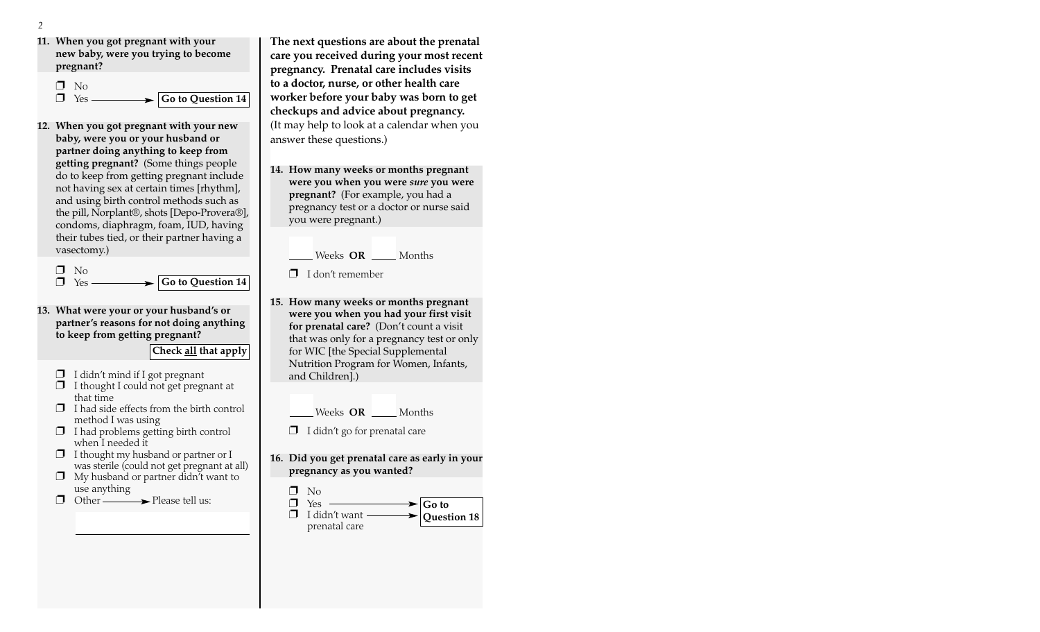



**12. When you got pregnant with your new baby, were you or your husband or partner doing anything to keep from getting pregnant?** (Some things people do to keep from getting pregnant include not having sex at certain times [rhythm], and using birth control methods such as the pill, Norplant®, shots [Depo-Provera®], condoms, diaphragm, foam, IUD, having their tubes tied, or their partner having a vasectomy.)

❐ No ❐ Yes **Go to Question 14**

**13. What were your or your husband's or partner's reasons for not doing anything to keep from getting pregnant?**

**Check all that apply**

- $\Box$  I didn't mind if I got pregnant
- $\Box$  I thought I could not get pregnant at that time
- $\Box$  I had side effects from the birth control method I was using
- $\Box$  I had problems getting birth control when I needed it
- $\Box$  I thought my husband or partner or I was sterile (could not get pregnant at all)
- $\Box$  My husband or partner didn't want to use anything
- ❐ Other Please tell us:

**The next questions are about the prenatal care you received during your most recent pregnancy. Prenatal care includes visits to a doctor, nurse, or other health care worker before your baby was born to get checkups and advice about pregnancy.**  (It may help to look at a calendar when you answer these questions.)

**14. How many weeks or months pregnant were you when you were** *sure* **you were pregnant?** (For example, you had a pregnancy test or a doctor or nurse said you were pregnant.)

Weeks **OR** \_\_\_\_\_ Months

❐ I don't remember

**15. How many weeks or months pregnant were you when you had your first visit for prenatal care?** (Don't count a visit that was only for a pregnancy test or only for WIC [the Special Supplemental Nutrition Program for Women, Infants, and Children].)

Weeks **OR** Months

- ❐ I didn't go for prenatal care
- **16. Did you get prenatal care as early in your pregnancy as you wanted?**

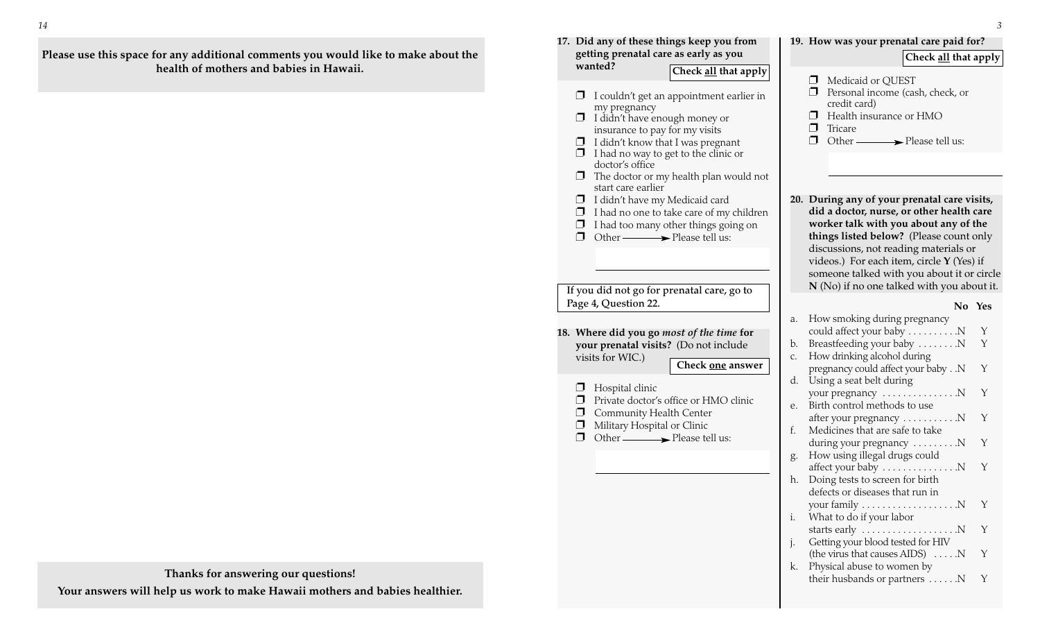**Please use this space for any additional comments you would like to make about the health of mothers and babies in Hawaii.**

- **17. Did any of these things keep you from getting prenatal care as early as you wanted?** $\Box$  I couldn't get an appointment earlier in my pregnancy<br>□ I didn't have enough money or insurance to pay for my visits  $\Box$  I didn't know that I was pregnant **Check all that apply**
- I didn't know that I was pregnant ❐ I had no way to get to the clinic or doctor's office
- ❐ The doctor or my health plan would not start care earlier
- ❐ I didn't have my Medicaid card
- $\Box$  I had no one to take care of my children
- $\Box$  I had too many other things going on
- $\Box$  Other  $\longrightarrow$  Please tell us:

**18. Where did you go** *most of the time* **for your prenatal visits?** (Do not include **If you did not go for prenatal care, go to Page 4, Question 22.**

**Check one answer**

❐ Hospital clinic

visits for WIC.)

- ❐ Private doctor's office or HMO clinic
- ❐Community Health Center
- ❐ Military Hospital or Clinic
- $\Box$  Other  $\rule{1em}{0.15mm}$  Please tell us:

**Thanks for answering our questions! Your answers will help us work to make Hawaii mothers and babies healthier.**

# **19. How was your prenatal care paid for?**

### **Check all that apply**

**No Yes**

- ❐ Medicaid or QUEST
- ❐ Personal income (cash, check, or credit card)
- $\Box$ Health insurance or HMO
- $\Box$ Tricare
- $\Box$  Other  $\longrightarrow$  Please tell us:

#### **20. During any of your prenatal care visits, did a doctor, nurse, or other health care worker talk with you about any of the things listed below?** (Please count only discussions, not reading materials or videos.) For each item, circle **Y** (Yes) if someone talked with you about it or circle **N** (No) if no one talked with you about it.

#### a. How smoking during pregnancy could affect your baby  $\dots \dots \dots N$  Y b. Breastfeeding your baby  $\dots \dots N$  Y c. How drinking alcohol during pregnancy could affect your baby . .N Y d. Using a seat belt during your pregnancy . . . . . . . . . . . . . . N Y e. Birth control methods to use after your pregnancy  $\dots \dots \dots \dots N$  Y f. Medicines that are safe to take during your pregnancy  $\dots \dots \dots N$  Y g. How using illegal drugs could affect your baby . . . . . . . . . . . . . . N Y h. Doing tests to screen for birth defects or diseases that run in your family . . . . . . . . . . . . . . . . . . .N Y i. What to do if your labor starts early . . . . . . . . . . . . . . . . . . N Y Getting your blood tested for HIV (the virus that causes AIDS)  $\dots$  N Y k. Physical abuse to women by their husbands or partners ......N Y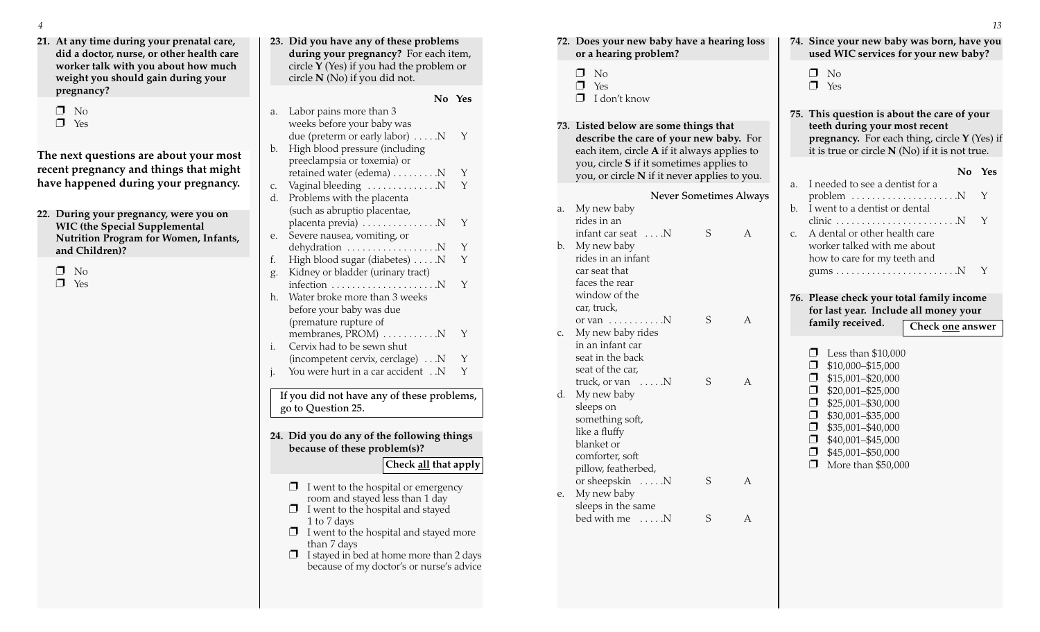- **21. At any time during your prenatal care, did a doctor, nurse, or other health care worker talk with you about how much weight you should gain during your pregnancy?**
	- ❐ No
	- ❐ Yes

**The next questions are about your most recent pregnancy and things that might have happened during your pregnancy.**

- **22. During your pregnancy, were you on WIC (the Special Supplemental Nutrition Program for Women, Infants, and Children)?**
	- ❐ No
	- ❐ Yes

| Labor pains more than 3                                      | No Yes                                                                                                                                                                                                                                                                                                                                                                           |
|--------------------------------------------------------------|----------------------------------------------------------------------------------------------------------------------------------------------------------------------------------------------------------------------------------------------------------------------------------------------------------------------------------------------------------------------------------|
|                                                              |                                                                                                                                                                                                                                                                                                                                                                                  |
| weeks before your baby was<br>due (preterm or early labor) N | Y                                                                                                                                                                                                                                                                                                                                                                                |
| High blood pressure (including                               |                                                                                                                                                                                                                                                                                                                                                                                  |
| retained water (edema) N                                     | Y                                                                                                                                                                                                                                                                                                                                                                                |
| Vaginal bleeding N                                           | Y                                                                                                                                                                                                                                                                                                                                                                                |
| Problems with the placenta                                   |                                                                                                                                                                                                                                                                                                                                                                                  |
|                                                              | Υ                                                                                                                                                                                                                                                                                                                                                                                |
|                                                              |                                                                                                                                                                                                                                                                                                                                                                                  |
|                                                              | Y                                                                                                                                                                                                                                                                                                                                                                                |
|                                                              | Y                                                                                                                                                                                                                                                                                                                                                                                |
|                                                              |                                                                                                                                                                                                                                                                                                                                                                                  |
|                                                              | Y                                                                                                                                                                                                                                                                                                                                                                                |
|                                                              |                                                                                                                                                                                                                                                                                                                                                                                  |
|                                                              |                                                                                                                                                                                                                                                                                                                                                                                  |
|                                                              |                                                                                                                                                                                                                                                                                                                                                                                  |
| membranes, PROM) N                                           | Y                                                                                                                                                                                                                                                                                                                                                                                |
| Cervix had to be sewn shut                                   |                                                                                                                                                                                                                                                                                                                                                                                  |
| (incompetent cervix, cerclage) N                             | Υ                                                                                                                                                                                                                                                                                                                                                                                |
| You were hurt in a car accidentN                             | Y                                                                                                                                                                                                                                                                                                                                                                                |
|                                                              |                                                                                                                                                                                                                                                                                                                                                                                  |
|                                                              |                                                                                                                                                                                                                                                                                                                                                                                  |
|                                                              | preeclampsia or toxemia) or<br>(such as abruptio placentae,<br>placenta previa) N<br>Severe nausea, vomiting, or<br>dehydration N<br>High blood sugar (diabetes) N<br>Kidney or bladder (urinary tract)<br>infection N<br>Water broke more than 3 weeks<br>before your baby was due<br>(premature rupture of<br>If you did not have any of these problems,<br>go to Question 25. |

- $\Box$  I went to the hospital or emergency room and stayed less than 1 day
- $\Box$  I went to the hospital and stayed 1 to 7 days
- $\Box$  I went to the hospital and stayed more than 7 days
- $\Box$  I stayed in bed at home more than 2 days because of my doctor's or nurse's advice

|          | 72. Does your new baby have a hearing loss<br>or a hearing problem?                                                                                                                                                           |              |                | 74. Since your new baby was born, have you<br>used WIC services for your new baby?                                                                                                                                                                                                      |                  |   |        |  |
|----------|-------------------------------------------------------------------------------------------------------------------------------------------------------------------------------------------------------------------------------|--------------|----------------|-----------------------------------------------------------------------------------------------------------------------------------------------------------------------------------------------------------------------------------------------------------------------------------------|------------------|---|--------|--|
|          | N <sub>0</sub><br>⊓<br>Yes<br>⊓<br>⊓<br>I don't know                                                                                                                                                                          |              |                | No<br>⊓<br>⊓<br>Yes                                                                                                                                                                                                                                                                     |                  |   |        |  |
|          | 73. Listed below are some things that<br>describe the care of your new baby. For<br>each item, circle A if it always applies to<br>you, circle S if it sometimes applies to<br>you, or circle N if it never applies to you.   |              |                | 75. This question is about the care of your<br>teeth during your most recent<br>pregnancy. For each thing, circle Y (Yes) if<br>it is true or circle $N(No)$ if it is not true.<br>No.<br>Yes                                                                                           |                  |   |        |  |
|          |                                                                                                                                                                                                                               |              | a.             | I needed to see a dentist for a                                                                                                                                                                                                                                                         |                  |   |        |  |
| a.       | <b>Never Sometimes Always</b><br>My new baby<br>rides in an                                                                                                                                                                   |              | b.             | problem $\dots\dots\dots\dots\dots\dots\dots$<br>I went to a dentist or dental<br>$\text{clinic}\dots\dots\dots\dots\dots\dots\dots\dots\dots$                                                                                                                                          |                  |   | Y<br>Y |  |
| b.       | infant car seat N<br>S<br>My new baby<br>rides in an infant<br>car seat that                                                                                                                                                  | $\mathsf{A}$ | $\mathsf{C}$ . | A dental or other health care<br>worker talked with me about<br>how to care for my teeth and                                                                                                                                                                                            |                  | Y |        |  |
|          | faces the rear                                                                                                                                                                                                                |              |                |                                                                                                                                                                                                                                                                                         |                  |   |        |  |
|          | window of the<br>car, truck,                                                                                                                                                                                                  |              |                | 76. Please check your total family income                                                                                                                                                                                                                                               |                  |   |        |  |
|          | S<br>or van $\dots \dots \dots$                                                                                                                                                                                               | A            |                | for last year. Include all money your<br>family received.                                                                                                                                                                                                                               | Check one answer |   |        |  |
| c.<br>d. | My new baby rides<br>in an infant car<br>seat in the back<br>seat of the car,<br>S<br>truck, or van N<br>My new baby<br>sleeps on<br>something soft,<br>like a fluffy<br>blanket or<br>comforter, soft<br>pillow, featherbed, | A            |                | Less than $$10,000$<br>$\Box$<br>\$10,000-\$15,000<br>\$15,001-\$20,000<br>$\Box$<br>0<br>\$20,001-\$25,000<br>$\Box$<br>\$25,001-\$30,000<br>\$30,001-\$35,000<br>$\Box$<br>\$35,001-\$40,000<br>$\Box$<br>\$40,001-\$45,000<br>□<br>□<br>\$45,001-\$50,000<br>⊓<br>More than \$50,000 |                  |   |        |  |
| е.       | or sheepskin N<br>S<br>My new baby<br>sleeps in the same                                                                                                                                                                      | А            |                |                                                                                                                                                                                                                                                                                         |                  |   |        |  |
|          | bed with me N<br>S                                                                                                                                                                                                            | A            |                |                                                                                                                                                                                                                                                                                         |                  |   |        |  |

*13*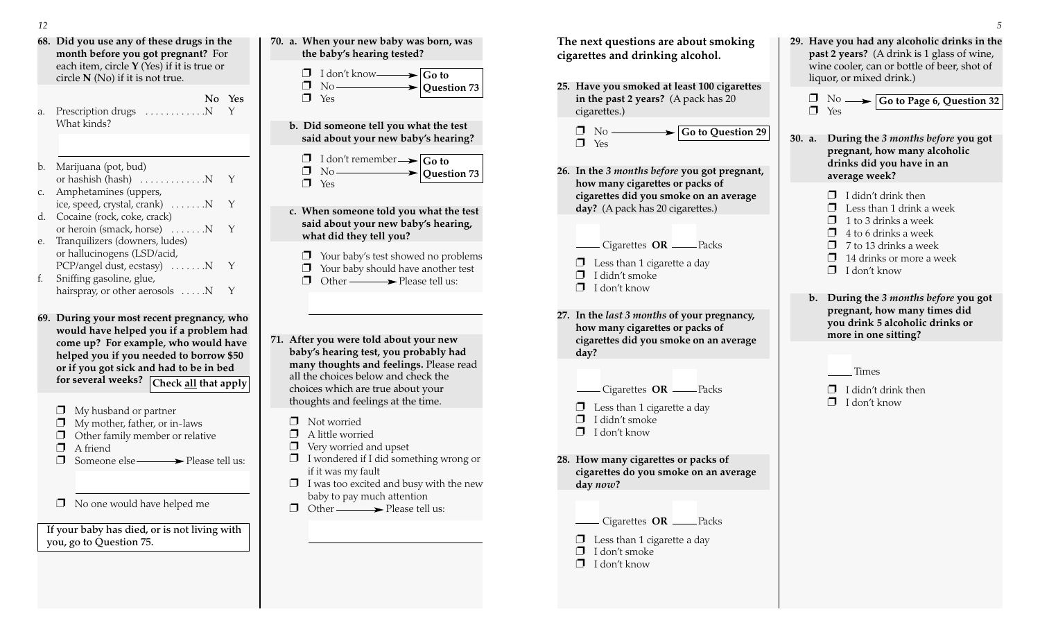- **68. Did you use any of these drugs in the month before you got pregnant?** For each item, circle **Y** (Yes) if it is true or circle **N** (No) if it is not true. **No Yes**a. Prescription drugs  $\dots \dots \dots \dots N$  Y What kinds?b. Marijuana (pot, bud) or hashish  $(hash)$  . . . . . . . . . . . .  $N$   $Y$ c. Amphetamines (uppers, ice, speed, crystal, crank)  $\dots$   $N$  Y d. Cocaine (rock, coke, crack) or heroin (smack, horse)  $\dots$  . . . . . . Y e. Tranquilizers (downers, ludes) or hallucinogens (LSD/acid, PCP/angel dust, ecstasy) .......N Y f. Sniffing gasoline, glue, hairspray, or other aerosols  $\dots N$  Y
- **69. During your most recent pregnancy, who would have helped you if a problem had come up? For example, who would have helped you if you needed to borrow \$50 or if you got sick and had to be in bed for several weeks? Check all that apply**
	- $\Box$  My husband or partner
	- $\Box$  My mother, father, or in-laws
	- □ Other family member or relative
	- ❐ A friend
	- $\Box$  Someone else  $\longrightarrow$  Please tell us:
	- $\Box$  No one would have helped me

**If your baby has died, or is not living with you, go to Question 75.**

- **70. a. When your new baby was born, was the baby's hearing tested?**  $\Box$  I don't know  $\longrightarrow$  **Go to**  $\Box$  No  $\longrightarrow$  Question 73 ❐ Yes **b. Did someone tell you what the test said about your new baby's hearing?**  $\Box$  I don't remember  $\rightarrow$   $\boxed{Go}$  to  $\Box$  No  $\longrightarrow$  Question 73 ❐ Yes **c. When someone told you what the test said about your new baby's hearing, what did they tell you?**
	- ❐ Your baby's test showed no problems ❐ Your baby should have another test  $\Box$  Other  $\longrightarrow$  Please tell us:
- **71. After you were told about your new baby's hearing test, you probably had many thoughts and feelings.** Please read all the choices below and check thechoices which are true about your thoughts and feelings at the time.
	- ❐ Not worried
	- ❐ A little worried
	- ❐ Very worried and upset
	- ❐ I wondered if I did something wrong or if it was my fault
	- $\Box$  I was too excited and busy with the new baby to pay much attention
	- $\Box$  Other  $\longrightarrow$  Please tell us:

**The next questions are about smoking cigarettes and drinking alcohol.**

**25. Have you smoked at least 100 cigarettes in the past 2 years?** (A pack has 20 cigarettes.)

> ❐ No **Go to Question 29** ❐ Yes

- **26. In the** *3 months before* **you got pregnant, how many cigarettes or packs of cigarettes did you smoke on an average day?** (A pack has 20 cigarettes.)
	- -Cigarettes **OR** Packs
	- $\Box$  Less than 1 cigarette a day
	- ❐ I didn't smoke
	- ❐ I don't know
- **27. In the** *last 3 months* **of your pregnancy, how many cigarettes or packs of cigarettes did you smoke on an average day?**
	- <u>Cigarettes</u> **OR** <u>CR</u> Packs
	- $\Box$  Less than 1 cigarette a day
	- ❐ I didn't smoke
	- ❐ I don't know
- **28. How many cigarettes or packs of cigarettes do you smoke on an average day** *now***?**

 $\equiv$  Cigarettes **OR**  $\equiv$  Packs

- $\Box$  Less than 1 cigarette a day
- ❐ I don't smoke
- ❐ I don't know

**29. Have you had any alcoholic drinks in the past 2 years?** (A drink is 1 glass of wine, wine cooler, can or bottle of beer, shot of liquor, or mixed drink.)

❐ No **Go to Page 6, Question 32**❐ Yes

- **30. a. During the** *3 months before* **you go<sup>t</sup> pregnant, how many alcoholic drinks did you have in an average week?**
	- $\Box$  I didn't drink then
	- $\Box$  Less than 1 drink a week
	- $\Box$  1 to 3 drinks a week
	- $\Box$  4 to 6 drinks a week
	- $\Box$  7 to 13 drinks a week
	- $\Box$  14 drinks or more a week
	- ❐ I don't know
	- **b. During the** *3 months before* **you go<sup>t</sup> pregnant, how many times did you drink 5 alcoholic drinks or more in one sitting?**
		- Times

 $\Box$  I didn't drink then ❐ I don't know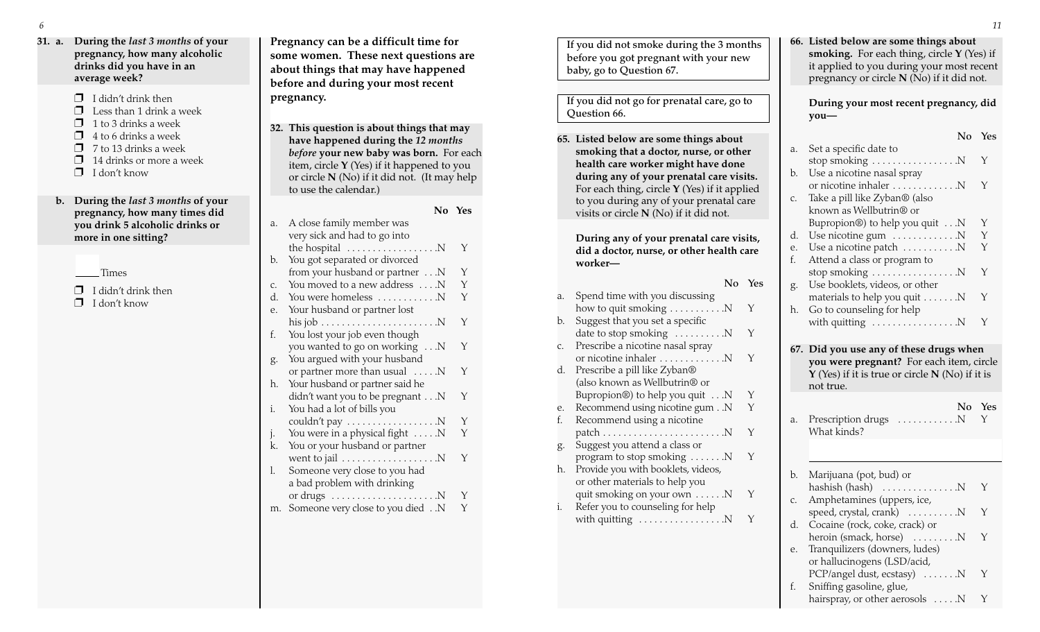### **31. a. During the** *last 3 months* **of your pregnancy, how many alcoholic drinks did you have in an average week?**

- $\Box$  I didn't drink then
- $\Box$  Less than 1 drink a week
- $\Box$  1 to 3 drinks a week
- $\Box$  4 to 6 drinks a week
- $\square$  7 to 13 drinks a week
- $\Box$  14 drinks or more a week
- ❐ I don't know
- **b. During the** *last 3 months* **of your pregnancy, how many times did you drink 5 alcoholic drinks or more in one sitting?**
	- Times
	- $\Box$  I didn't drink then ❐ I don't know
- **Pregnancy can be a difficult time for some women. These next questions are about things that may have happened before and during your most recent pregnancy.**
- **32. This question is about things that may have happened during the** *12 months before* **your new baby was born.** For each item, circle **Y** (Yes) if it happened to you or circle **N** (No) if it did not. (It may help to use the calendar.)

**No Yes**

| a. | A close family member was                                 |   |  |
|----|-----------------------------------------------------------|---|--|
|    | very sick and had to go into                              |   |  |
|    | the hospital N                                            | Υ |  |
| b. | You got separated or divorced                             |   |  |
|    | from your husband or partner N                            | Υ |  |
| C. | You moved to a new address N                              | Y |  |
| d. | You were homeless N                                       | Υ |  |
| e. | Your husband or partner lost                              |   |  |
|    | his job $\dots \dots \dots \dots \dots \dots \dots \dots$ | Υ |  |
| f. | You lost your job even though                             |   |  |
|    | you wanted to go on working N                             | Υ |  |
| g. | You argued with your husband                              |   |  |
|    | or partner more than usual N                              | Υ |  |
| h. | Your husband or partner said he                           |   |  |
|    | didn't want you to be pregnant N                          | Υ |  |
| i. | You had a lot of bills you                                |   |  |
|    | couldn't pay $\dots \dots \dots \dots \dots \dots$        | Υ |  |
| j. | You were in a physical fight N                            | Υ |  |
| k. | You or your husband or partner                            |   |  |
|    | went to jail $\dots \dots \dots \dots \dots \dots$        | Υ |  |
| l. | Someone very close to you had                             |   |  |
|    | a bad problem with drinking                               |   |  |
|    | or drugs                                                  | Y |  |
| m. | Someone very close to you diedN                           | Υ |  |
|    |                                                           |   |  |

**If you did not smoke during the 3 months before you got pregnant with your new baby, go to Question 67.**

**If you did not go for prenatal care, go to Question 66.**

**65. Listed below are some things about smoking that a doctor, nurse, or other health care worker might have done during any of your prenatal care visits.** For each thing, circle **Y** (Yes) if it applied to you during any of your prenatal care visits or circle **N** (No) if it did not.

**During any of your prenatal care visits, did a doctor, nurse, or other health care worker—**

|    |                                                | No | Yes |
|----|------------------------------------------------|----|-----|
| a. | Spend time with you discussing                 |    |     |
|    | how to quit smoking $\dots \dots \dots \dots$  |    | Υ   |
| b. | Suggest that you set a specific                |    |     |
|    | date to stop smoking N                         |    | Y   |
| C. | Prescribe a nicotine nasal spray               |    |     |
|    | or nicotine inhaler N                          |    | Υ   |
| d. | Prescribe a pill like Zyban®                   |    |     |
|    | (also known as Wellbutrin® or                  |    |     |
|    | Bupropion®) to help you quit N                 |    | Y   |
| e. | Recommend using nicotine gum N                 |    | Υ   |
| f. | Recommend using a nicotine                     |    |     |
|    |                                                |    | Υ   |
| g. | Suggest you attend a class or                  |    |     |
|    | program to stop smoking $\dots \dots N$        |    | Υ   |
| h. | Provide you with booklets, videos,             |    |     |
|    | or other materials to help you                 |    |     |
|    | quit smoking on your own N                     |    | Y   |
| i. | Refer you to counseling for help               |    |     |
|    | with quitting $\dots\dots\dots\dots\dots\dots$ |    |     |
|    |                                                |    |     |

**66. Listed below are some things about smoking.** For each thing, circle **<sup>Y</sup>**(Yes) if it applied to you during your most recent pregnancy or circle **N** (No) if it did not.

**During your most recent pregnancy, did you—**

### **No Yes**

| a. | Set a specific date to                                                                                                                                  |     |
|----|---------------------------------------------------------------------------------------------------------------------------------------------------------|-----|
|    | stop smoking $\dots \dots \dots \dots \dots$                                                                                                            | Υ   |
| b. | Use a nicotine nasal spray                                                                                                                              |     |
|    | or nicotine inhaler N                                                                                                                                   | Y   |
| c. | Take a pill like Zyban® (also                                                                                                                           |     |
|    | known as Wellbutrin <sup>®</sup> or                                                                                                                     |     |
|    | Bupropion®) to help you quit N                                                                                                                          | Y   |
| d. | Use nicotine gum N                                                                                                                                      | Y   |
| e. | Use a nicotine patch N                                                                                                                                  | Υ   |
| f. | Attend a class or program to                                                                                                                            |     |
|    | stop smoking $\dots \dots \dots \dots \dots$                                                                                                            | Y   |
| g. | Use booklets, videos, or other                                                                                                                          |     |
|    | materials to help you quit N                                                                                                                            | Y   |
| h. | Go to counseling for help                                                                                                                               |     |
|    | with quitting $\dots\dots\dots\dots\dots\dots$                                                                                                          | Υ   |
|    |                                                                                                                                                         |     |
|    |                                                                                                                                                         |     |
|    | 67. Did you use any of these drugs when<br>you were pregnant? For each item, circle<br>$Y$ (Yes) if it is true or circle $N$ (No) if it is<br>not true. |     |
|    |                                                                                                                                                         |     |
|    | No                                                                                                                                                      | Yes |
| a. | Prescription drugs N                                                                                                                                    | Y   |
|    | What kinds?                                                                                                                                             |     |
|    |                                                                                                                                                         |     |
|    |                                                                                                                                                         |     |
| b. | Marijuana (pot, bud) or                                                                                                                                 |     |
|    | hashish $(hash)$                                                                                                                                        | Y   |
| c. | Amphetamines (uppers, ice,                                                                                                                              |     |
|    | speed, crystal, crank) N                                                                                                                                | Υ   |
| d. | Cocaine (rock, coke, crack) or                                                                                                                          |     |
| e. | heroin (smack, horse)<br>$\ldots$ N<br>Tranquilizers (downers, ludes)                                                                                   | Υ   |

- or hallucinogens (LSD/acid, PCP/angel dust, ecstasy)  $\dots$  . . . . . . Y
- f. Sniffing gasoline, glue, hairspray, or other aerosols  $\dots$  N Y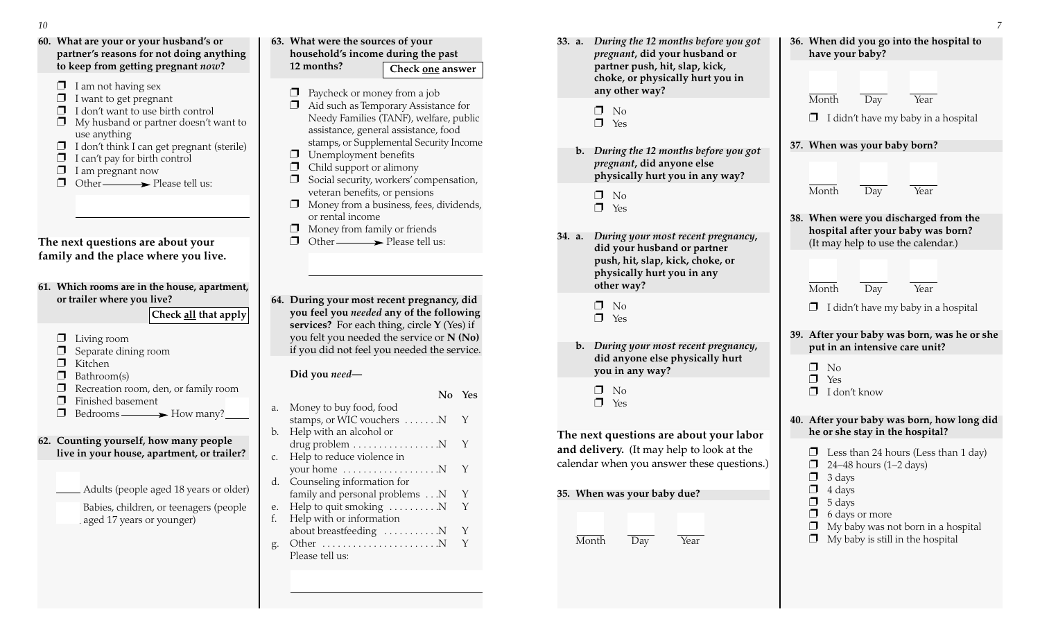### **60. What are your or your husband's or partner's reasons for not doing anything to keep from getting pregnant** *now***?**

- $\Box$  I am not having sex
- $\Box$  I want to get pregnant
- $\Box$  I don't want to use birth control
- $\Box$  My husband or partner doesn't want to use anything
- ❐ I don't think I can get pregnant (sterile)
- ❐ I can't pay for birth control
- $\Box$  I am pregnant now
- $\Box$  Other  $\longrightarrow$  Please tell us:

## **The next questions are about your family and the place where you live.**

**61. Which rooms are in the house, apartment, or trailer where you live?**

**Check all that apply**

- $\Box$  Living room
- $\Box$  Separate dining room
- ❐ Kitchen
- ❐ Bathroom(s)
- ❐ Recreation room, den, or family room
- ❐ Finished basement
- $\Box$  Bedrooms  $\longrightarrow$  How many?

#### **62. Counting yourself, how many people live in your house, apartment, or trailer?**

Adults (people aged 18 years or older) Babies, children, or teenagers (people aged 17 years or younger)

#### **63. What were the sources of your household's income during the past 12 months?Check one answer**

- ❐ Paycheck or money from a job
- ❐ Aid such as Temporary Assistance for Needy Families (TANF), welfare, public assistance, general assistance, food stamps, or Supplemental Security Income
- ❐ Unemployment benefits
- ❐ Child support or alimony
- ❐ Social security, workers'compensation, veteran benefits, or pensions
- $\Box$  Money from a business, fees, dividends, or rental income
- ❐ Money from family or friends
- $\Box$  Other  $\longrightarrow$  Please tell us:

**64. During your most recent pregnancy, did you feel you** *needed* **any of the following services?** For each thing, circle **Y** (Yes) if you felt you needed the service or **N (No)** if you did not feel you needed the service.

#### **Did you** *need* **—**

**No Yes**a. Money to buy food, food stamps, or WIC vouchers ........ N Y

- b. Help with an alcohol or drug problem . . . . . . . . . . . . . . . . . N Y c. Help to reduce violence in your home  $\dots \dots \dots \dots \dots \dots N$  Y
- d. Counseling information for family and personal problems  $\dots$ N Y
- e. Help to quit smoking  $\dots \dots \dots N$  Y
- f. Help with or information
- about breastfeeding .............N Y g. Other . . . . . . . . . . . . . . . . . . . . . . .N Y Please tell us:
- **33. a.** *During the 12 months before you go<sup>t</sup> pregnant***, did your husband or partner push, hit, slap, kick, choke, or physically hurt you in any other way?** ❐ No ❐ Yes **b.** *During the 12 months before you go<sup>t</sup> pregnant***, did anyone else physically hurt you in any way?** ❐ No ❐ Yes **34. a.** *During your most recent pregnancy***, did your husband or partner push, hit, slap, kick, choke, or physically hurt you in any other way?**  $\Box$  No ❐ Yes **b.** *During your most recent pregnancy***, did anyone else physically hurt you in any way?** ❐ No ❐ Yes **The next questions are about your labor and delivery.** (It may help to look at the calendar when you answer these questions.) **36. When did you go into the hospital to have your baby?** Month Day Year ❐**37. When was your baby born?** Month Day Year Month Day Year ❐**put in an intensive care unit?** ❐ $\square$  No ❐ Yes ❐ I don't know **he or she stay in the hospital?** ❐❐ 24–48 hours (1–2 days) ❐ 3 days
	- **35. When was your baby due?**

| Month | Dav | Year |
|-------|-----|------|

|                                                                                                                   | Month                                                                                                          | Day |  | Year |                                     |  |  |
|-------------------------------------------------------------------------------------------------------------------|----------------------------------------------------------------------------------------------------------------|-----|--|------|-------------------------------------|--|--|
| $\Box$                                                                                                            |                                                                                                                |     |  |      | I didn't have my baby in a hospital |  |  |
|                                                                                                                   | 37. When was your baby born?                                                                                   |     |  |      |                                     |  |  |
|                                                                                                                   |                                                                                                                |     |  |      |                                     |  |  |
|                                                                                                                   | Month                                                                                                          | Day |  | Year |                                     |  |  |
| 38. When were you discharged from the<br>hospital after your baby was born?<br>(It may help to use the calendar.) |                                                                                                                |     |  |      |                                     |  |  |
|                                                                                                                   |                                                                                                                |     |  |      |                                     |  |  |
|                                                                                                                   | Month                                                                                                          | Day |  | Year |                                     |  |  |
| П.                                                                                                                |                                                                                                                |     |  |      | I didn't have my baby in a hospital |  |  |
| 39. After your baby was born, was he or she<br>put in an intensive care unit?                                     |                                                                                                                |     |  |      |                                     |  |  |
|                                                                                                                   | No<br>$\Box$ Yes<br>I don't know                                                                               |     |  |      |                                     |  |  |
| 40. After your baby was born, how long did<br>he or she stay in the hospital?                                     |                                                                                                                |     |  |      |                                     |  |  |
| $\Box$<br>$\Box$<br>$\Box$<br>$\Box$<br>$\Box$<br>$\Box$                                                          | Less than 24 hours (Less than 1 day)<br>24-48 hours (1-2 days)<br>3 days<br>4 days<br>5 days<br>6 days or more |     |  |      |                                     |  |  |
| $\Box$<br>Π.                                                                                                      | My baby was not born in a hospital<br>My baby is still in the hospital                                         |     |  |      |                                     |  |  |